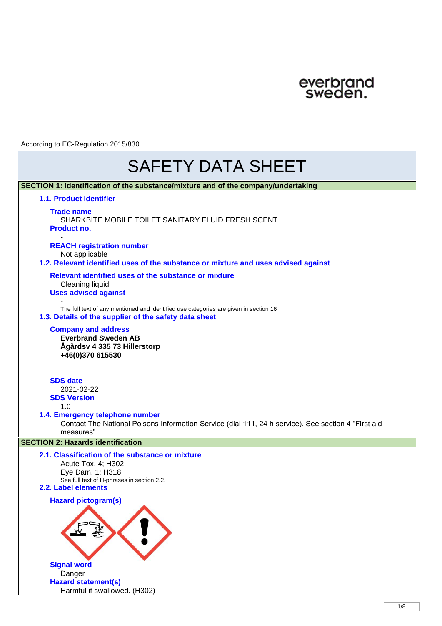

# SAFETY DATA SHEET

| SECTION 1: Identification of the substance/mixture and of the company/undertaking                                                                              |
|----------------------------------------------------------------------------------------------------------------------------------------------------------------|
| 1.1. Product identifier                                                                                                                                        |
| <b>Trade name</b><br>SHARKBITE MOBILE TOILET SANITARY FLUID FRESH SCENT<br>Product no.                                                                         |
| <b>REACH registration number</b><br>Not applicable<br>1.2. Relevant identified uses of the substance or mixture and uses advised against                       |
| Relevant identified uses of the substance or mixture<br>Cleaning liquid<br><b>Uses advised against</b>                                                         |
| The full text of any mentioned and identified use categories are given in section 16<br>1.3. Details of the supplier of the safety data sheet                  |
| <b>Company and address</b><br><b>Everbrand Sweden AB</b><br>Ågårdsv 4 335 73 Hillerstorp<br>+46(0)370 615530                                                   |
| <b>SDS</b> date<br>2021-02-22<br><b>SDS Version</b><br>1.0                                                                                                     |
| 1.4. Emergency telephone number<br>Contact The National Poisons Information Service (dial 111, 24 h service). See section 4 "First aid<br>measures".           |
| <b>SECTION 2: Hazards identification</b>                                                                                                                       |
| 2.1. Classification of the substance or mixture<br>Acute Tox. 4; H302<br>Eye Dam. 1; H318<br>See full text of H-phrases in section 2.2.<br>2.2. Label elements |
| Hazard pictogram(s)                                                                                                                                            |
| <b>Signal word</b><br>Danger<br><b>Hazard statement(s)</b><br>Harmful if swallowed. (H302)                                                                     |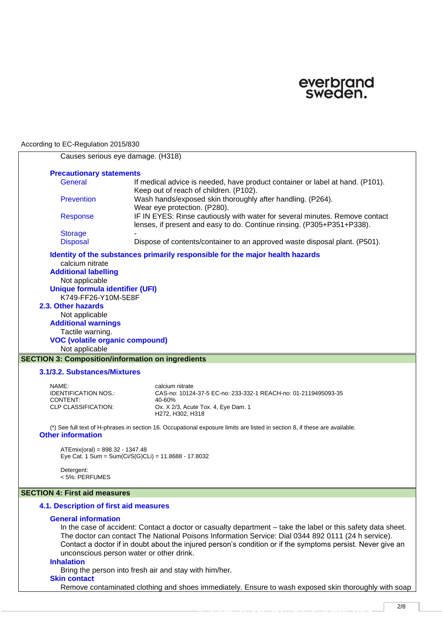

|                                                                                                             | Causes serious eye damage. (H318)                                                                                           |  |  |
|-------------------------------------------------------------------------------------------------------------|-----------------------------------------------------------------------------------------------------------------------------|--|--|
| <b>Precautionary statements</b>                                                                             |                                                                                                                             |  |  |
| <b>General</b>                                                                                              | If medical advice is needed, have product container or label at hand. (P101).                                               |  |  |
|                                                                                                             | Keep out of reach of children. (P102).                                                                                      |  |  |
| <b>Prevention</b>                                                                                           | Wash hands/exposed skin thoroughly after handling. (P264).                                                                  |  |  |
|                                                                                                             | Wear eye protection. (P280).<br>IF IN EYES: Rinse cautiously with water for several minutes. Remove contact                 |  |  |
| <b>Response</b>                                                                                             | lenses, if present and easy to do. Continue rinsing. (P305+P351+P338).                                                      |  |  |
| <b>Storage</b>                                                                                              |                                                                                                                             |  |  |
| <b>Disposal</b>                                                                                             | Dispose of contents/container to an approved waste disposal plant. (P501).                                                  |  |  |
|                                                                                                             | Identity of the substances primarily responsible for the major health hazards                                               |  |  |
| calcium nitrate                                                                                             |                                                                                                                             |  |  |
| <b>Additional labelling</b>                                                                                 |                                                                                                                             |  |  |
| Not applicable                                                                                              |                                                                                                                             |  |  |
| <b>Unique formula identifier (UFI)</b>                                                                      |                                                                                                                             |  |  |
| K749-FF26-Y10M-5E8F                                                                                         |                                                                                                                             |  |  |
| 2.3. Other hazards                                                                                          |                                                                                                                             |  |  |
| Not applicable                                                                                              |                                                                                                                             |  |  |
| <b>Additional warnings</b>                                                                                  |                                                                                                                             |  |  |
| Tactile warning.                                                                                            |                                                                                                                             |  |  |
| Not applicable                                                                                              | <b>VOC (volatile organic compound)</b>                                                                                      |  |  |
|                                                                                                             |                                                                                                                             |  |  |
|                                                                                                             | <b>SECTION 3: Composition/information on ingredients</b>                                                                    |  |  |
| 3.1/3.2. Substances/Mixtures                                                                                |                                                                                                                             |  |  |
| NAME:                                                                                                       | calcium nitrate                                                                                                             |  |  |
| <b>IDENTIFICATION NOS.:</b>                                                                                 | CAS-no: 10124-37-5 EC-no: 233-332-1 REACH-no: 01-2119495093-35                                                              |  |  |
| CONTENT:<br><b>CLP CLASSIFICATION:</b>                                                                      | 40-60%<br>Ox. X 2/3, Acute Tox. 4, Eye Dam. 1                                                                               |  |  |
|                                                                                                             | H272, H302, H318                                                                                                            |  |  |
|                                                                                                             | (*) See full text of H-phrases in section 16. Occupational exposure limits are listed in section 8, if these are available. |  |  |
| <b>Other information</b>                                                                                    |                                                                                                                             |  |  |
|                                                                                                             |                                                                                                                             |  |  |
| $ATEmix(oral) = 898.32 - 1347.48$                                                                           | Eye Cat. 1 Sum = Sum(Ci/S(G)CLi) = 11.8688 - 17.8032                                                                        |  |  |
|                                                                                                             |                                                                                                                             |  |  |
| Detergent:                                                                                                  |                                                                                                                             |  |  |
| < 5%: PERFUMES                                                                                              |                                                                                                                             |  |  |
| <b>SECTION 4: First aid measures</b>                                                                        |                                                                                                                             |  |  |
| 4.1. Description of first aid measures                                                                      |                                                                                                                             |  |  |
| <b>General information</b>                                                                                  |                                                                                                                             |  |  |
|                                                                                                             | In the case of accident: Contact a doctor or casualty department – take the label or this safety data sheet.                |  |  |
|                                                                                                             | The doctor can contact The National Poisons Information Service: Dial 0344 892 0111 (24 h service).                         |  |  |
| Contact a doctor if in doubt about the injured person's condition or if the symptoms persist. Never give an |                                                                                                                             |  |  |
|                                                                                                             | unconscious person water or other drink.                                                                                    |  |  |
| <b>Inhalation</b>                                                                                           |                                                                                                                             |  |  |
|                                                                                                             | Bring the person into fresh air and stay with him/her.                                                                      |  |  |
| <b>Skin contact</b>                                                                                         |                                                                                                                             |  |  |
|                                                                                                             | Remove contaminated clothing and shoes immediately. Ensure to wash exposed skin thoroughly with soap                        |  |  |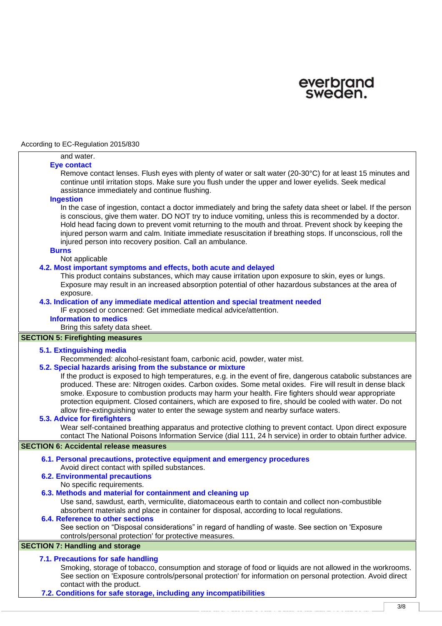

#### and water. **Eye contact**

Remove contact lenses. Flush eyes with plenty of water or salt water (20-30°C) for at least 15 minutes and continue until irritation stops. Make sure you flush under the upper and lower eyelids. Seek medical assistance immediately and continue flushing.

#### **Ingestion**

In the case of ingestion, contact a doctor immediately and bring the safety data sheet or label. If the person is conscious, give them water. DO NOT try to induce vomiting, unless this is recommended by a doctor. Hold head facing down to prevent vomit returning to the mouth and throat. Prevent shock by keeping the injured person warm and calm. Initiate immediate resuscitation if breathing stops. If unconscious, roll the injured person into recovery position. Call an ambulance.

## **Burns**

Not applicable

# **4.2. Most important symptoms and effects, both acute and delayed**

This product contains substances, which may cause irritation upon exposure to skin, eyes or lungs. Exposure may result in an increased absorption potential of other hazardous substances at the area of exposure.

# **4.3. Indication of any immediate medical attention and special treatment needed**

IF exposed or concerned: Get immediate medical advice/attention.

# **Information to medics**

Bring this safety data sheet.

# **SECTION 5: Firefighting measures**

#### **5.1. Extinguishing media**

Recommended: alcohol-resistant foam, carbonic acid, powder, water mist.

**5.2. Special hazards arising from the substance or mixture**

If the product is exposed to high temperatures, e.g. in the event of fire, dangerous catabolic substances are produced. These are: Nitrogen oxides. Carbon oxides. Some metal oxides. Fire will result in dense black smoke. Exposure to combustion products may harm your health. Fire fighters should wear appropriate protection equipment. Closed containers, which are exposed to fire, should be cooled with water. Do not allow fire-extinguishing water to enter the sewage system and nearby surface waters.

## **5.3. Advice for firefighters**

Wear self-contained breathing apparatus and protective clothing to prevent contact. Upon direct exposure contact The National Poisons Information Service (dial 111, 24 h service) in order to obtain further advice.

### **SECTION 6: Accidental release measures**

- **6.1. Personal precautions, protective equipment and emergency procedures** Avoid direct contact with spilled substances.
- **6.2. Environmental precautions** No specific requirements.

#### **6.3. Methods and material for containment and cleaning up**

Use sand, sawdust, earth, vermiculite, diatomaceous earth to contain and collect non-combustible absorbent materials and place in container for disposal, according to local regulations.

# **6.4. Reference to other sections**

See section on "Disposal considerations" in regard of handling of waste. See section on 'Exposure controls/personal protection' for protective measures.

# **SECTION 7: Handling and storage**

#### **7.1. Precautions for safe handling**

Smoking, storage of tobacco, consumption and storage of food or liquids are not allowed in the workrooms. See section on 'Exposure controls/personal protection' for information on personal protection. Avoid direct contact with the product.

SHARKBITE MOBILET SANITARY FLUID FLUID FLUID FLUID FLUID FLUID FLUID FLUID FLUID FLUID FLUID FLUID FLUID FLUID<br>Secolul II

**7.2. Conditions for safe storage, including any incompatibilities**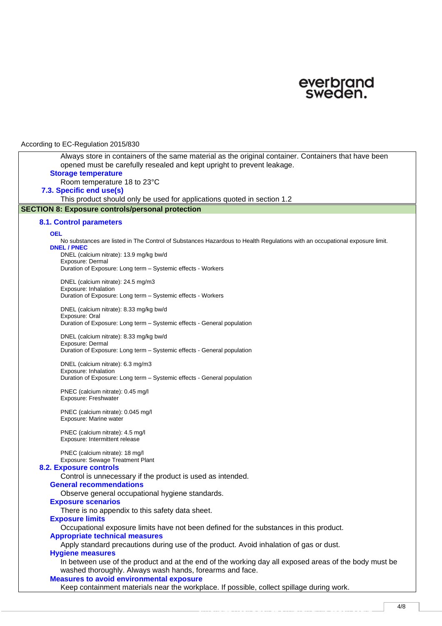

| Nooon airig to Leo Trogalation Lo To/ooo                                                                                                                                       |
|--------------------------------------------------------------------------------------------------------------------------------------------------------------------------------|
| Always store in containers of the same material as the original container. Containers that have been<br>opened must be carefully resealed and kept upright to prevent leakage. |
| <b>Storage temperature</b>                                                                                                                                                     |
| Room temperature 18 to 23°C                                                                                                                                                    |
| 7.3. Specific end use(s)<br>This product should only be used for applications quoted in section 1.2                                                                            |
| <b>SECTION 8: Exposure controls/personal protection</b>                                                                                                                        |
|                                                                                                                                                                                |
| <b>8.1. Control parameters</b>                                                                                                                                                 |
| <b>OEL</b>                                                                                                                                                                     |
| No substances are listed in The Control of Substances Hazardous to Health Regulations with an occupational exposure limit.<br><b>DNEL / PNEC</b>                               |
| DNEL (calcium nitrate): 13.9 mg/kg bw/d                                                                                                                                        |
| Exposure: Dermal                                                                                                                                                               |
| Duration of Exposure: Long term - Systemic effects - Workers                                                                                                                   |
| DNEL (calcium nitrate): 24.5 mg/m3                                                                                                                                             |
| Exposure: Inhalation                                                                                                                                                           |
| Duration of Exposure: Long term - Systemic effects - Workers                                                                                                                   |
| DNEL (calcium nitrate): 8.33 mg/kg bw/d                                                                                                                                        |
| Exposure: Oral                                                                                                                                                                 |
| Duration of Exposure: Long term - Systemic effects - General population                                                                                                        |
| DNEL (calcium nitrate): 8.33 mg/kg bw/d                                                                                                                                        |
| Exposure: Dermal                                                                                                                                                               |
| Duration of Exposure: Long term - Systemic effects - General population                                                                                                        |
| DNEL (calcium nitrate): 6.3 mg/m3                                                                                                                                              |
| Exposure: Inhalation<br>Duration of Exposure: Long term - Systemic effects - General population                                                                                |
|                                                                                                                                                                                |
| PNEC (calcium nitrate): 0.45 mg/l                                                                                                                                              |
| Exposure: Freshwater                                                                                                                                                           |
| PNEC (calcium nitrate): 0.045 mg/l                                                                                                                                             |
| Exposure: Marine water                                                                                                                                                         |
| PNEC (calcium nitrate): 4.5 mg/l                                                                                                                                               |
| Exposure: Intermittent release                                                                                                                                                 |
| PNEC (calcium nitrate): 18 mg/l                                                                                                                                                |
| Exposure: Sewage Treatment Plant                                                                                                                                               |
| <b>8.2. Exposure controls</b>                                                                                                                                                  |
| Control is unnecessary if the product is used as intended.                                                                                                                     |
| <b>General recommendations</b>                                                                                                                                                 |
| Observe general occupational hygiene standards.                                                                                                                                |
| <b>Exposure scenarios</b>                                                                                                                                                      |
| There is no appendix to this safety data sheet.                                                                                                                                |
| <b>Exposure limits</b>                                                                                                                                                         |
| Occupational exposure limits have not been defined for the substances in this product.                                                                                         |
| <b>Appropriate technical measures</b><br>Apply standard precautions during use of the product. Avoid inhalation of gas or dust.                                                |
| <b>Hygiene measures</b>                                                                                                                                                        |
| In between use of the product and at the end of the working day all exposed areas of the body must be                                                                          |
| washed thoroughly. Always wash hands, forearms and face.                                                                                                                       |
| <b>Measures to avoid environmental exposure</b>                                                                                                                                |
| Keep containment materials near the workplace. If possible, collect spillage during work.                                                                                      |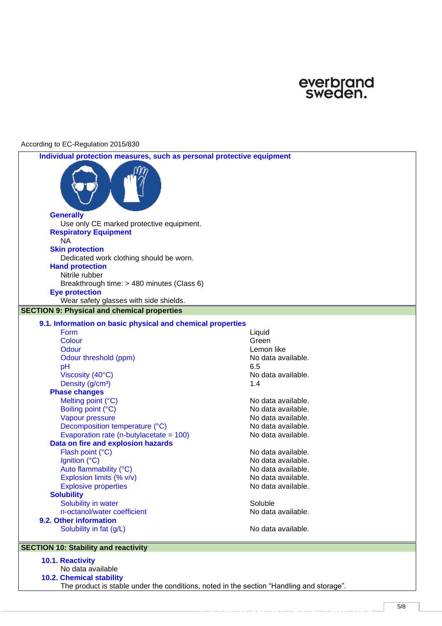

| Individual protection measures, such as personal protective equipment |                                          |
|-----------------------------------------------------------------------|------------------------------------------|
|                                                                       |                                          |
| <b>Generally</b>                                                      |                                          |
| Use only CE marked protective equipment.                              |                                          |
| <b>Respiratory Equipment</b><br><b>NA</b>                             |                                          |
| <b>Skin protection</b>                                                |                                          |
| Dedicated work clothing should be worn.                               |                                          |
| <b>Hand protection</b>                                                |                                          |
| Nitrile rubber                                                        |                                          |
| Breakthrough time: > 480 minutes (Class 6)                            |                                          |
| <b>Eye protection</b>                                                 |                                          |
| Wear safety glasses with side shields.                                |                                          |
| <b>SECTION 9: Physical and chemical properties</b>                    |                                          |
| 9.1. Information on basic physical and chemical properties            |                                          |
| <b>Form</b>                                                           | Liquid                                   |
| Colour                                                                | Green                                    |
| Odour                                                                 | Lemon like                               |
| Odour threshold (ppm)                                                 | No data available.                       |
| pH                                                                    | 6.5                                      |
| Viscosity (40°C)                                                      | No data available.                       |
| Density (g/cm <sup>3</sup> )                                          | 1.4                                      |
| <b>Phase changes</b>                                                  |                                          |
| Melting point (°C)                                                    | No data available.                       |
| Boiling point (°C)                                                    | No data available.                       |
| Vapour pressure                                                       | No data available.                       |
| Decomposition temperature (°C)                                        | No data available.                       |
| Evaporation rate (n-butylacetate $= 100$ )                            | No data available.                       |
| Data on fire and explosion hazards                                    |                                          |
| Flash point (°C)                                                      | No data available.                       |
| Ignition (°C)                                                         | No data available.                       |
| Auto flammability (°C)                                                | No data available.                       |
| Explosion limits (% v/v)<br><b>Explosive properties</b>               | No data available.<br>No data available. |
| <b>Solubility</b>                                                     |                                          |
| Solubility in water                                                   | Soluble                                  |
| n-octanol/water coefficient                                           | No data available.                       |
| 9.2. Other information                                                |                                          |
| Solubility in fat (g/L)                                               | No data available.                       |
|                                                                       |                                          |
| <b>SECTION 10: Stability and reactivity</b>                           |                                          |
|                                                                       |                                          |

**10.1. Reactivity**

No data available **10.2. Chemical stability** The product is stable under the conditions, noted in the section "Handling and storage".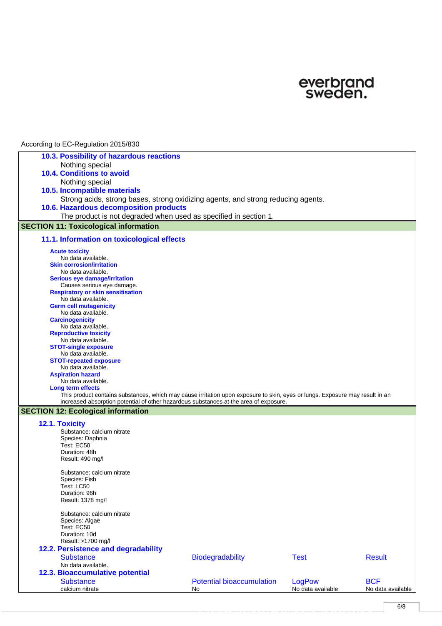

| 10.3. Possibility of hazardous reactions<br>Nothing special                                                                  |  |  |  |  |
|------------------------------------------------------------------------------------------------------------------------------|--|--|--|--|
|                                                                                                                              |  |  |  |  |
|                                                                                                                              |  |  |  |  |
| <b>10.4. Conditions to avoid</b>                                                                                             |  |  |  |  |
| Nothing special                                                                                                              |  |  |  |  |
|                                                                                                                              |  |  |  |  |
| 10.5. Incompatible materials                                                                                                 |  |  |  |  |
| Strong acids, strong bases, strong oxidizing agents, and strong reducing agents.                                             |  |  |  |  |
| 10.6. Hazardous decomposition products                                                                                       |  |  |  |  |
| The product is not degraded when used as specified in section 1.                                                             |  |  |  |  |
| <b>SECTION 11: Toxicological information</b>                                                                                 |  |  |  |  |
| 11.1. Information on toxicological effects                                                                                   |  |  |  |  |
| <b>Acute toxicity</b>                                                                                                        |  |  |  |  |
| No data available.                                                                                                           |  |  |  |  |
| <b>Skin corrosion/irritation</b>                                                                                             |  |  |  |  |
| No data available.                                                                                                           |  |  |  |  |
| <b>Serious eye damage/irritation</b><br>Causes serious eye damage.                                                           |  |  |  |  |
| <b>Respiratory or skin sensitisation</b>                                                                                     |  |  |  |  |
| No data available.                                                                                                           |  |  |  |  |
| <b>Germ cell mutagenicity</b>                                                                                                |  |  |  |  |
| No data available.                                                                                                           |  |  |  |  |
| <b>Carcinogenicity</b>                                                                                                       |  |  |  |  |
| No data available.                                                                                                           |  |  |  |  |
| <b>Reproductive toxicity</b>                                                                                                 |  |  |  |  |
| No data available.                                                                                                           |  |  |  |  |
| <b>STOT-single exposure</b><br>No data available.                                                                            |  |  |  |  |
| <b>STOT-repeated exposure</b>                                                                                                |  |  |  |  |
| No data available.                                                                                                           |  |  |  |  |
| <b>Aspiration hazard</b>                                                                                                     |  |  |  |  |
| No data available.                                                                                                           |  |  |  |  |
| Long term effects                                                                                                            |  |  |  |  |
| This product contains substances, which may cause irritation upon exposure to skin, eyes or lungs. Exposure may result in an |  |  |  |  |
| increased absorption potential of other hazardous substances at the area of exposure.                                        |  |  |  |  |
| <b>SECTION 12: Ecological information</b>                                                                                    |  |  |  |  |
| 12.1. Toxicity                                                                                                               |  |  |  |  |
| Substance: calcium nitrate                                                                                                   |  |  |  |  |
| Species: Daphnia                                                                                                             |  |  |  |  |
| Test: EC50                                                                                                                   |  |  |  |  |
| Duration: 48h                                                                                                                |  |  |  |  |
| Result: 490 mg/l                                                                                                             |  |  |  |  |
|                                                                                                                              |  |  |  |  |
| Substance: calcium nitrate<br>Species: Fish                                                                                  |  |  |  |  |
| Test: LC50                                                                                                                   |  |  |  |  |
| Duration: 96h                                                                                                                |  |  |  |  |
| Result: 1378 mg/l                                                                                                            |  |  |  |  |
|                                                                                                                              |  |  |  |  |
| Substance: calcium nitrate                                                                                                   |  |  |  |  |
| Species: Algae                                                                                                               |  |  |  |  |
| Test: EC50                                                                                                                   |  |  |  |  |
| Duration: 10d                                                                                                                |  |  |  |  |
| Result: >1700 mg/l                                                                                                           |  |  |  |  |
| 12.2. Persistence and degradability                                                                                          |  |  |  |  |
| <b>Substance</b><br><b>Biodegradability</b><br><b>Test</b><br><b>Result</b>                                                  |  |  |  |  |
| No data available.                                                                                                           |  |  |  |  |
| 12.3. Bioaccumulative potential                                                                                              |  |  |  |  |
| <b>Substance</b><br><b>Potential bioaccumulation</b><br>LogPow<br><b>BCF</b>                                                 |  |  |  |  |
| No data available<br>calcium nitrate<br>No data available<br>No                                                              |  |  |  |  |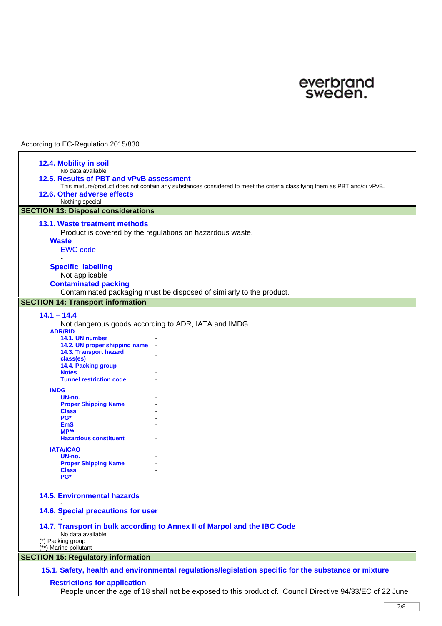

| 12.4. Mobility in soil                                                                                    |                                                                                                                           |  |  |
|-----------------------------------------------------------------------------------------------------------|---------------------------------------------------------------------------------------------------------------------------|--|--|
| No data available                                                                                         |                                                                                                                           |  |  |
| 12.5. Results of PBT and vPvB assessment                                                                  |                                                                                                                           |  |  |
|                                                                                                           | This mixture/product does not contain any substances considered to meet the criteria classifying them as PBT and/or vPvB. |  |  |
| 12.6. Other adverse effects                                                                               |                                                                                                                           |  |  |
| Nothing special                                                                                           |                                                                                                                           |  |  |
|                                                                                                           |                                                                                                                           |  |  |
| <b>SECTION 13: Disposal considerations</b>                                                                |                                                                                                                           |  |  |
| 13.1. Waste treatment methods                                                                             |                                                                                                                           |  |  |
|                                                                                                           | Product is covered by the regulations on hazardous waste.                                                                 |  |  |
| <b>Waste</b>                                                                                              |                                                                                                                           |  |  |
| <b>EWC</b> code                                                                                           |                                                                                                                           |  |  |
|                                                                                                           |                                                                                                                           |  |  |
|                                                                                                           |                                                                                                                           |  |  |
| <b>Specific labelling</b>                                                                                 |                                                                                                                           |  |  |
| Not applicable                                                                                            |                                                                                                                           |  |  |
| <b>Contaminated packing</b>                                                                               |                                                                                                                           |  |  |
|                                                                                                           | Contaminated packaging must be disposed of similarly to the product.                                                      |  |  |
| <b>SECTION 14: Transport information</b>                                                                  |                                                                                                                           |  |  |
|                                                                                                           |                                                                                                                           |  |  |
| $14.1 - 14.4$                                                                                             |                                                                                                                           |  |  |
|                                                                                                           | Not dangerous goods according to ADR, IATA and IMDG.                                                                      |  |  |
| <b>ADR/RID</b>                                                                                            |                                                                                                                           |  |  |
| 14.1. UN number                                                                                           |                                                                                                                           |  |  |
| 14.2. UN proper shipping name<br>14.3. Transport hazard                                                   |                                                                                                                           |  |  |
| class(es)                                                                                                 |                                                                                                                           |  |  |
| 14.4. Packing group                                                                                       |                                                                                                                           |  |  |
| <b>Notes</b>                                                                                              |                                                                                                                           |  |  |
| <b>Tunnel restriction code</b>                                                                            |                                                                                                                           |  |  |
| <b>IMDG</b>                                                                                               |                                                                                                                           |  |  |
| UN-no.                                                                                                    |                                                                                                                           |  |  |
| <b>Proper Shipping Name</b>                                                                               |                                                                                                                           |  |  |
| <b>Class</b>                                                                                              |                                                                                                                           |  |  |
| PG*                                                                                                       |                                                                                                                           |  |  |
| EmS                                                                                                       |                                                                                                                           |  |  |
| $MP**$<br><b>Hazardous constituent</b>                                                                    |                                                                                                                           |  |  |
|                                                                                                           |                                                                                                                           |  |  |
| <b>IATA/ICAO</b>                                                                                          |                                                                                                                           |  |  |
| UN-no.                                                                                                    |                                                                                                                           |  |  |
| <b>Proper Shipping Name</b>                                                                               |                                                                                                                           |  |  |
| <b>Class</b><br>PG*                                                                                       |                                                                                                                           |  |  |
|                                                                                                           |                                                                                                                           |  |  |
|                                                                                                           |                                                                                                                           |  |  |
| <b>14.5. Environmental hazards</b>                                                                        |                                                                                                                           |  |  |
|                                                                                                           |                                                                                                                           |  |  |
| 14.6. Special precautions for user                                                                        |                                                                                                                           |  |  |
|                                                                                                           |                                                                                                                           |  |  |
|                                                                                                           | 14.7. Transport in bulk according to Annex II of Marpol and the IBC Code                                                  |  |  |
| No data available<br>(*) Packing group                                                                    |                                                                                                                           |  |  |
| (**) Marine pollutant                                                                                     |                                                                                                                           |  |  |
| <b>SECTION 15: Regulatory information</b>                                                                 |                                                                                                                           |  |  |
|                                                                                                           |                                                                                                                           |  |  |
|                                                                                                           | 15.1. Safety, health and environmental regulations/legislation specific for the substance or mixture                      |  |  |
|                                                                                                           |                                                                                                                           |  |  |
| <b>Restrictions for application</b>                                                                       |                                                                                                                           |  |  |
| People under the age of 18 shall not be exposed to this product cf. Council Directive 94/33/EC of 22 June |                                                                                                                           |  |  |